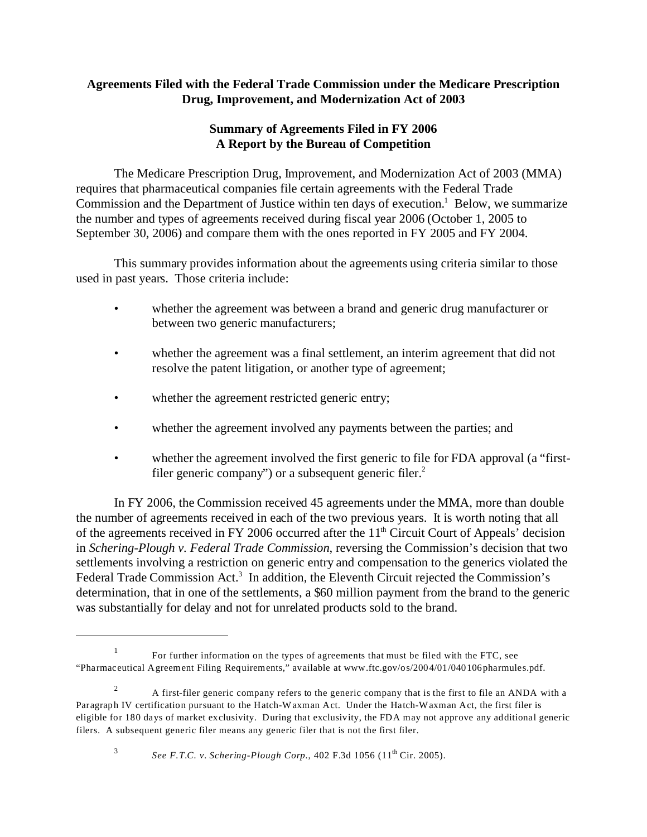# **Agreements Filed with the Federal Trade Commission under the Medicare Prescription Drug, Improvement, and Modernization Act of 2003**

# **Summary of Agreements Filed in FY 2006 A Report by the Bureau of Competition**

The Medicare Prescription Drug, Improvement, and Modernization Act of 2003 (MMA) requires that pharmaceutical companies file certain agreements with the Federal Trade Commission and the Department of Justice within ten days of execution.<sup>1</sup> Below, we summarize the number and types of agreements received during fiscal year 2006 (October 1, 2005 to September 30, 2006) and compare them with the ones reported in FY 2005 and FY 2004.

This summary provides information about the agreements using criteria similar to those used in past years. Those criteria include:

- whether the agreement was between a brand and generic drug manufacturer or between two generic manufacturers;
- whether the agreement was a final settlement, an interim agreement that did not resolve the patent litigation, or another type of agreement;
- whether the agreement restricted generic entry;
- whether the agreement involved any payments between the parties; and
- whether the agreement involved the first generic to file for FDA approval (a "firstfiler generic company") or a subsequent generic filer. $2$

In FY 2006, the Commission received 45 agreements under the MMA, more than double the number of agreements received in each of the two previous years. It is worth noting that all of the agreements received in FY 2006 occurred after the 11<sup>th</sup> Circuit Court of Appeals' decision in *Schering-Plough v. Federal Trade Commission*, reversing the Commission's decision that two settlements involving a restriction on generic entry and compensation to the generics violated the Federal Trade Commission Act.<sup>3</sup> In addition, the Eleventh Circuit rejected the Commission's determination, that in one of the settlements, a \$60 million payment from the brand to the generic was substantially for delay and not for unrelated products sold to the brand.

<sup>&</sup>lt;sup>1</sup> For further information on the types of agreements that must be filed with the FTC, see "Pharmaceutical Agreement Filing Requirements," available at www.ftc.gov/os/2004/01/040106pharmules.pdf.

<sup>&</sup>lt;sup>2</sup> A first-filer generic company refers to the generic company that is the first to file an ANDA with a Paragraph IV certification pursuant to the Hatch-Waxman Act. Under the Hatch-Waxman Act, the first filer is eligible for 180 days of market exclusivity. During that exclusivity, the FDA may not approve any additional generic filers. A subsequent generic filer means any generic filer that is not the first filer.

<sup>&</sup>lt;sup>3</sup> See F.T.C. v. Schering-Plough Corp., 402 F.3d 1056 ( $11^{th}$  Cir. 2005).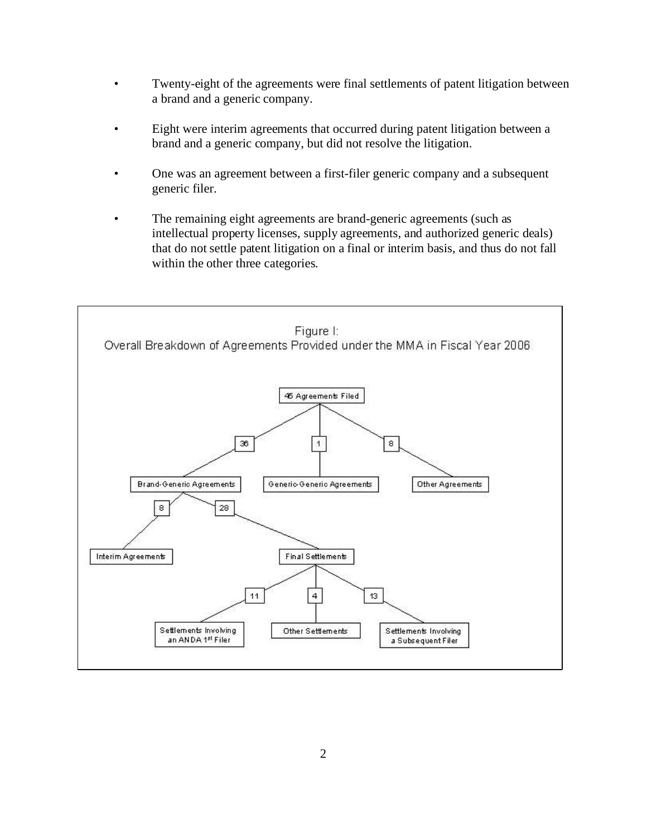- Twenty-eight of the agreements were final settlements of patent litigation between a brand and a generic company.
- Eight were interim agreements that occurred during patent litigation between a brand and a generic company, but did not resolve the litigation.
- One was an agreement between a first-filer generic company and a subsequent generic filer.
- The remaining eight agreements are brand-generic agreements (such as intellectual property licenses, supply agreements, and authorized generic deals) that do not settle patent litigation on a final or interim basis, and thus do not fall within the other three categories.

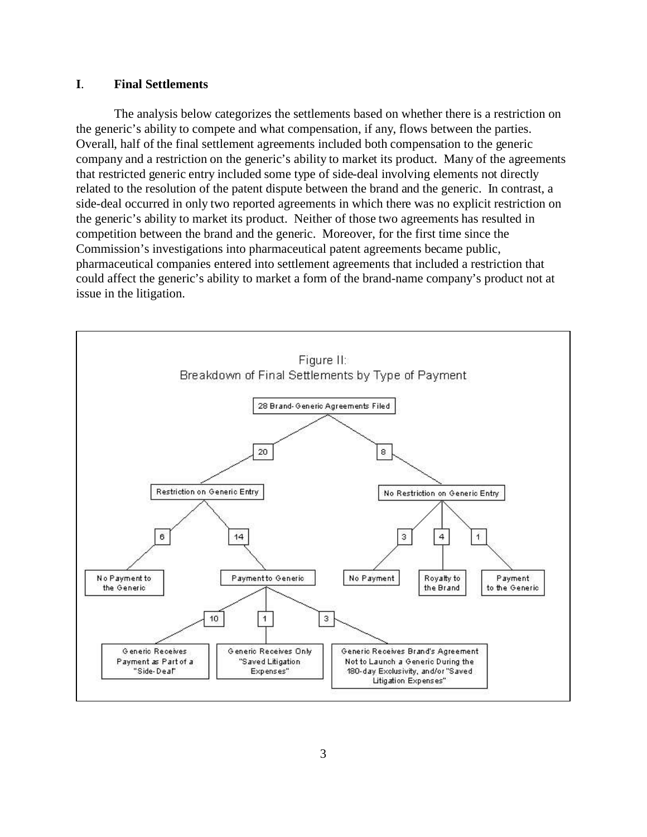### **I**. **Final Settlements**

The analysis below categorizes the settlements based on whether there is a restriction on the generic's ability to compete and what compensation, if any, flows between the parties. Overall, half of the final settlement agreements included both compensation to the generic company and a restriction on the generic's ability to market its product. Many of the agreements that restricted generic entry included some type of side-deal involving elements not directly related to the resolution of the patent dispute between the brand and the generic. In contrast, a side-deal occurred in only two reported agreements in which there was no explicit restriction on the generic's ability to market its product. Neither of those two agreements has resulted in competition between the brand and the generic. Moreover, for the first time since the Commission's investigations into pharmaceutical patent agreements became public, pharmaceutical companies entered into settlement agreements that included a restriction that could affect the generic's ability to market a form of the brand-name company's product not at issue in the litigation.

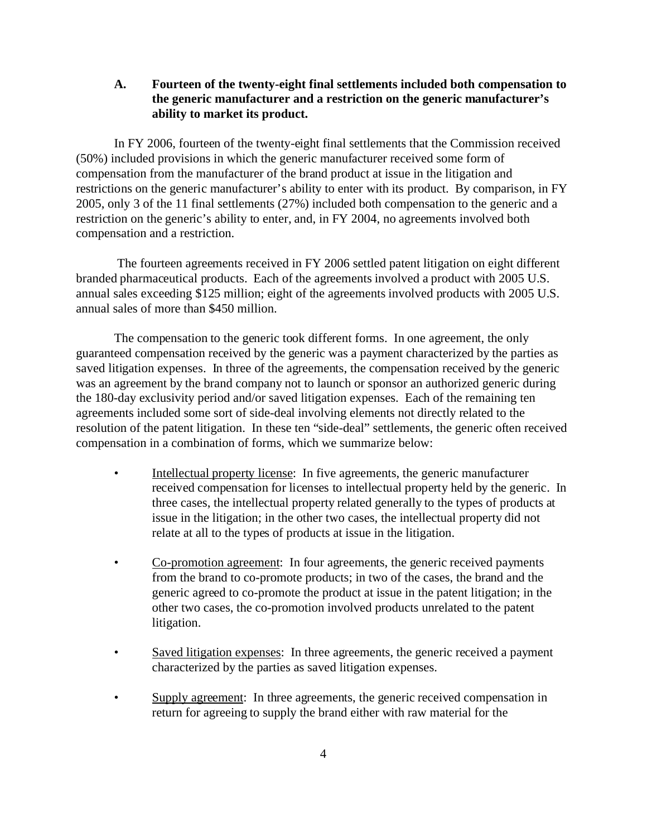## **A. Fourteen of the twenty-eight final settlements included both compensation to the generic manufacturer and a restriction on the generic manufacturer's ability to market its product.**

In FY 2006, fourteen of the twenty-eight final settlements that the Commission received (50%) included provisions in which the generic manufacturer received some form of compensation from the manufacturer of the brand product at issue in the litigation and restrictions on the generic manufacturer's ability to enter with its product. By comparison, in FY 2005, only 3 of the 11 final settlements (27%) included both compensation to the generic and a restriction on the generic's ability to enter, and, in FY 2004, no agreements involved both compensation and a restriction.

 The fourteen agreements received in FY 2006 settled patent litigation on eight different branded pharmaceutical products. Each of the agreements involved a product with 2005 U.S. annual sales exceeding \$125 million; eight of the agreements involved products with 2005 U.S. annual sales of more than \$450 million.

The compensation to the generic took different forms. In one agreement, the only guaranteed compensation received by the generic was a payment characterized by the parties as saved litigation expenses. In three of the agreements, the compensation received by the generic was an agreement by the brand company not to launch or sponsor an authorized generic during the 180-day exclusivity period and/or saved litigation expenses. Each of the remaining ten agreements included some sort of side-deal involving elements not directly related to the resolution of the patent litigation. In these ten "side-deal" settlements, the generic often received compensation in a combination of forms, which we summarize below:

- Intellectual property license: In five agreements, the generic manufacturer received compensation for licenses to intellectual property held by the generic. In three cases, the intellectual property related generally to the types of products at issue in the litigation; in the other two cases, the intellectual property did not relate at all to the types of products at issue in the litigation.
- Co-promotion agreement: In four agreements, the generic received payments from the brand to co-promote products; in two of the cases, the brand and the generic agreed to co-promote the product at issue in the patent litigation; in the other two cases, the co-promotion involved products unrelated to the patent litigation.
- Saved litigation expenses: In three agreements, the generic received a payment characterized by the parties as saved litigation expenses.
- Supply agreement: In three agreements, the generic received compensation in return for agreeing to supply the brand either with raw material for the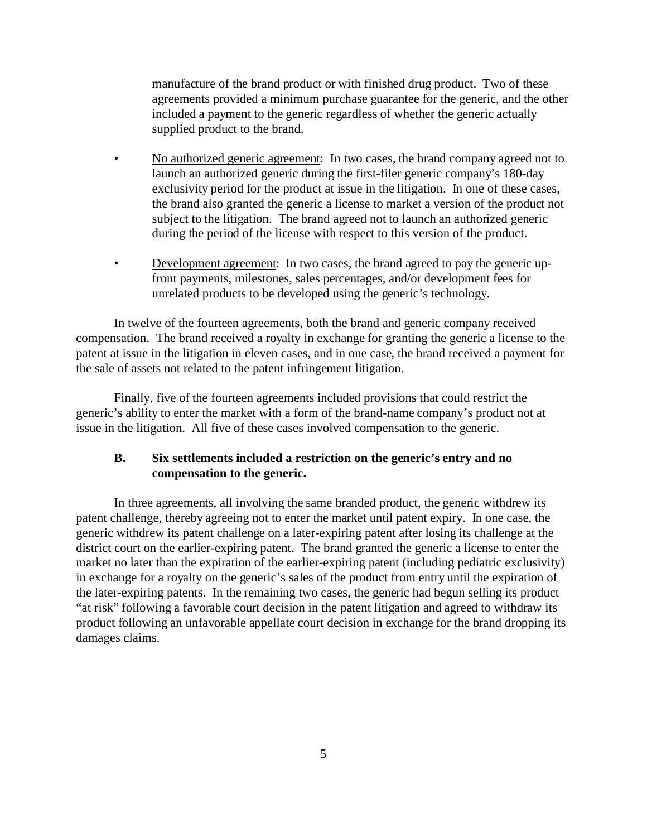manufacture of the brand product or with finished drug product. Two of these agreements provided a minimum purchase guarantee for the generic, and the other included a payment to the generic regardless of whether the generic actually supplied product to the brand.

- No authorized generic agreement: In two cases, the brand company agreed not to launch an authorized generic during the first-filer generic company's 180-day exclusivity period for the product at issue in the litigation. In one of these cases, the brand also granted the generic a license to market a version of the product not subject to the litigation. The brand agreed not to launch an authorized generic during the period of the license with respect to this version of the product.
- Development agreement: In two cases, the brand agreed to pay the generic upfront payments, milestones, sales percentages, and/or development fees for unrelated products to be developed using the generic's technology.

In twelve of the fourteen agreements, both the brand and generic company received compensation. The brand received a royalty in exchange for granting the generic a license to the patent at issue in the litigation in eleven cases, and in one case, the brand received a payment for the sale of assets not related to the patent infringement litigation.

Finally, five of the fourteen agreements included provisions that could restrict the generic's ability to enter the market with a form of the brand-name company's product not at issue in the litigation. All five of these cases involved compensation to the generic.

## **B. Six settlements included a restriction on the generic's entry and no compensation to the generic.**

In three agreements, all involving the same branded product, the generic withdrew its patent challenge, thereby agreeing not to enter the market until patent expiry. In one case, the generic withdrew its patent challenge on a later-expiring patent after losing its challenge at the district court on the earlier-expiring patent. The brand granted the generic a license to enter the market no later than the expiration of the earlier-expiring patent (including pediatric exclusivity) in exchange for a royalty on the generic's sales of the product from entry until the expiration of the later-expiring patents. In the remaining two cases, the generic had begun selling its product "at risk" following a favorable court decision in the patent litigation and agreed to withdraw its product following an unfavorable appellate court decision in exchange for the brand dropping its damages claims.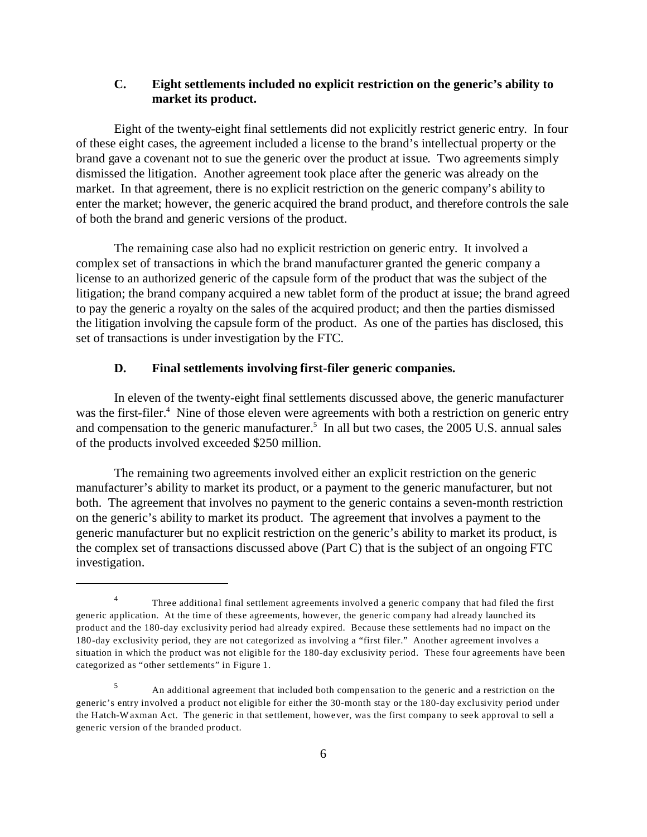## **C. Eight settlements included no explicit restriction on the generic's ability to market its product.**

Eight of the twenty-eight final settlements did not explicitly restrict generic entry. In four of these eight cases, the agreement included a license to the brand's intellectual property or the brand gave a covenant not to sue the generic over the product at issue. Two agreements simply dismissed the litigation. Another agreement took place after the generic was already on the market. In that agreement, there is no explicit restriction on the generic company's ability to enter the market; however, the generic acquired the brand product, and therefore controls the sale of both the brand and generic versions of the product.

The remaining case also had no explicit restriction on generic entry. It involved a complex set of transactions in which the brand manufacturer granted the generic company a license to an authorized generic of the capsule form of the product that was the subject of the litigation; the brand company acquired a new tablet form of the product at issue; the brand agreed to pay the generic a royalty on the sales of the acquired product; and then the parties dismissed the litigation involving the capsule form of the product. As one of the parties has disclosed, this set of transactions is under investigation by the FTC.

#### **D. Final settlements involving first-filer generic companies.**

In eleven of the twenty-eight final settlements discussed above, the generic manufacturer was the first-filer.<sup>4</sup> Nine of those eleven were agreements with both a restriction on generic entry and compensation to the generic manufacturer.<sup>5</sup> In all but two cases, the 2005 U.S. annual sales of the products involved exceeded \$250 million.

The remaining two agreements involved either an explicit restriction on the generic manufacturer's ability to market its product, or a payment to the generic manufacturer, but not both. The agreement that involves no payment to the generic contains a seven-month restriction on the generic's ability to market its product. The agreement that involves a payment to the generic manufacturer but no explicit restriction on the generic's ability to market its product, is the complex set of transactions discussed above (Part C) that is the subject of an ongoing FTC investigation.

<sup>&</sup>lt;sup>4</sup> Three additional final settlement agreements involved a generic company that had filed the first generic application. At the time of these agreements, however, the generic company had already launched its product and the 180-day exclusivity period had already expired. Because these settlements had no impact on the 180-day exclusivity period, they are not categorized as involving a "first filer." Another agreement involves a situation in which the product was not eligible for the 180-day exclusivity period. These four agreements have been categorized as "other settlements" in Figure 1.

<sup>5</sup> An additional agreement that included both compensation to the generic and a restriction on the generic's entry involved a product not eligible for either the 30-month stay or the 180-day exclusivity period under the Hatch-Waxman Act. The generic in that settlement, however, was the first company to seek approval to sell a generic version of the branded product.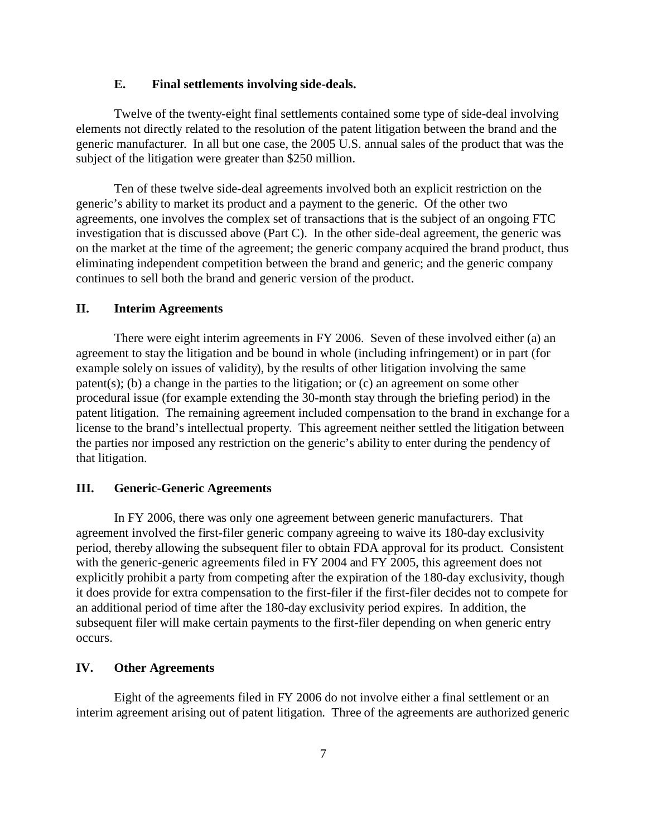#### **E. Final settlements involving side-deals.**

Twelve of the twenty-eight final settlements contained some type of side-deal involving elements not directly related to the resolution of the patent litigation between the brand and the generic manufacturer. In all but one case, the 2005 U.S. annual sales of the product that was the subject of the litigation were greater than \$250 million.

Ten of these twelve side-deal agreements involved both an explicit restriction on the generic's ability to market its product and a payment to the generic. Of the other two agreements, one involves the complex set of transactions that is the subject of an ongoing FTC investigation that is discussed above (Part C). In the other side-deal agreement, the generic was on the market at the time of the agreement; the generic company acquired the brand product, thus eliminating independent competition between the brand and generic; and the generic company continues to sell both the brand and generic version of the product.

#### **II. Interim Agreements**

There were eight interim agreements in FY 2006. Seven of these involved either (a) an agreement to stay the litigation and be bound in whole (including infringement) or in part (for example solely on issues of validity), by the results of other litigation involving the same patent(s); (b) a change in the parties to the litigation; or (c) an agreement on some other procedural issue (for example extending the 30-month stay through the briefing period) in the patent litigation. The remaining agreement included compensation to the brand in exchange for a license to the brand's intellectual property. This agreement neither settled the litigation between the parties nor imposed any restriction on the generic's ability to enter during the pendency of that litigation.

### **III. Generic-Generic Agreements**

In FY 2006, there was only one agreement between generic manufacturers. That agreement involved the first-filer generic company agreeing to waive its 180-day exclusivity period, thereby allowing the subsequent filer to obtain FDA approval for its product. Consistent with the generic-generic agreements filed in FY 2004 and FY 2005, this agreement does not explicitly prohibit a party from competing after the expiration of the 180-day exclusivity, though it does provide for extra compensation to the first-filer if the first-filer decides not to compete for an additional period of time after the 180-day exclusivity period expires. In addition, the subsequent filer will make certain payments to the first-filer depending on when generic entry occurs.

#### **IV. Other Agreements**

Eight of the agreements filed in FY 2006 do not involve either a final settlement or an interim agreement arising out of patent litigation. Three of the agreements are authorized generic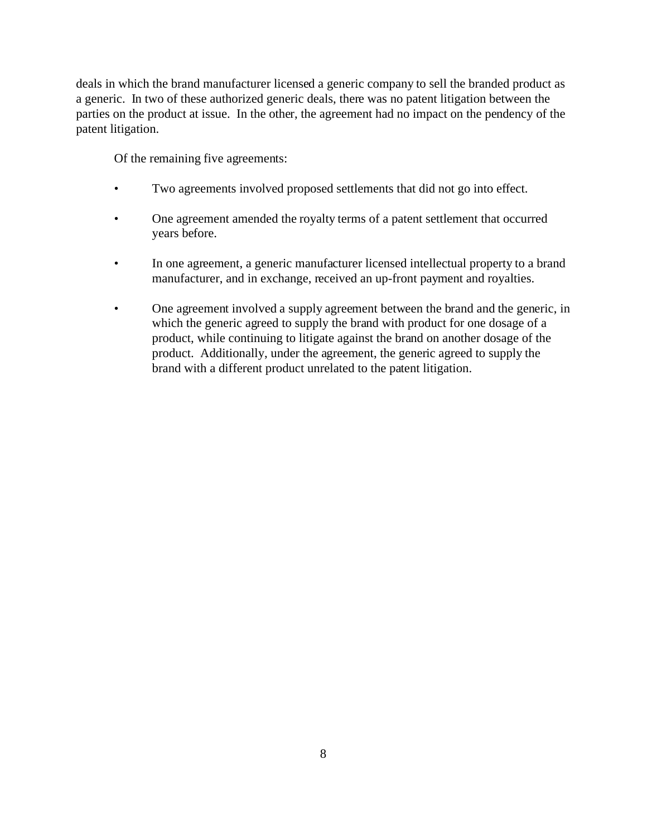deals in which the brand manufacturer licensed a generic company to sell the branded product as a generic. In two of these authorized generic deals, there was no patent litigation between the parties on the product at issue. In the other, the agreement had no impact on the pendency of the patent litigation.

Of the remaining five agreements:

- Two agreements involved proposed settlements that did not go into effect.
- One agreement amended the royalty terms of a patent settlement that occurred years before.
- In one agreement, a generic manufacturer licensed intellectual property to a brand manufacturer, and in exchange, received an up-front payment and royalties.
- One agreement involved a supply agreement between the brand and the generic, in which the generic agreed to supply the brand with product for one dosage of a product, while continuing to litigate against the brand on another dosage of the product. Additionally, under the agreement, the generic agreed to supply the brand with a different product unrelated to the patent litigation.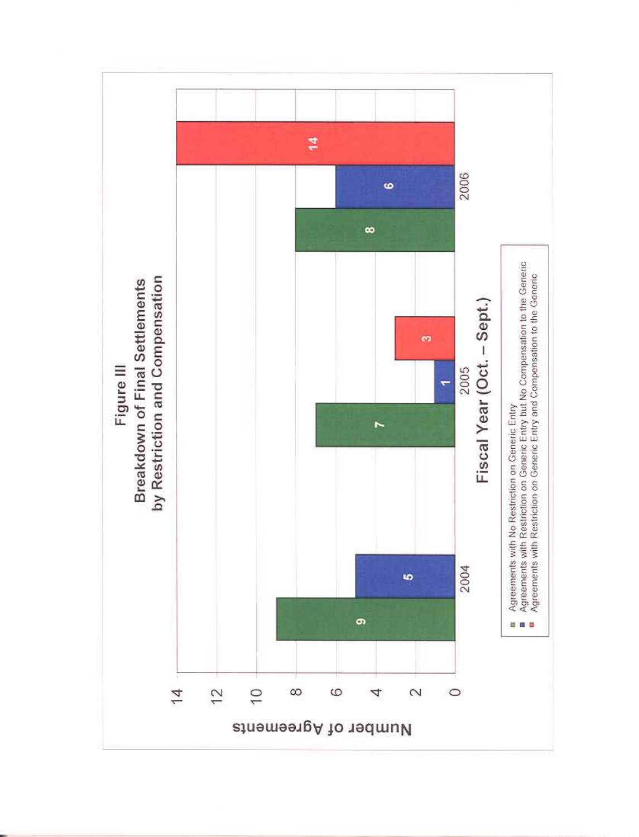